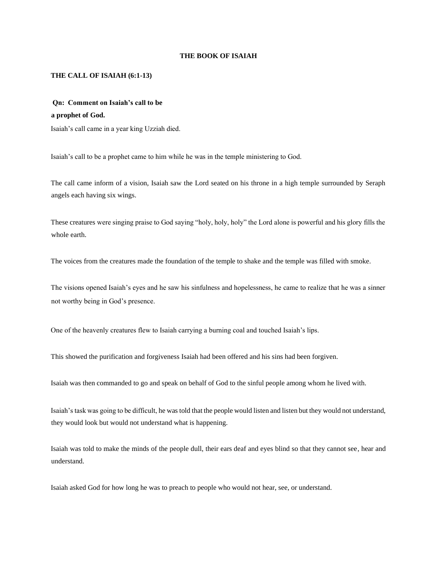#### **THE BOOK OF ISAIAH**

#### **THE CALL OF ISAIAH (6:1-13)**

# **Qn: Comment on Isaiah's call to be a prophet of God.**

Isaiah's call came in a year king Uzziah died.

Isaiah's call to be a prophet came to him while he was in the temple ministering to God.

The call came inform of a vision, Isaiah saw the Lord seated on his throne in a high temple surrounded by Seraph angels each having six wings.

These creatures were singing praise to God saying "holy, holy, holy" the Lord alone is powerful and his glory fills the whole earth

The voices from the creatures made the foundation of the temple to shake and the temple was filled with smoke.

The visions opened Isaiah's eyes and he saw his sinfulness and hopelessness, he came to realize that he was a sinner not worthy being in God's presence.

One of the heavenly creatures flew to Isaiah carrying a burning coal and touched Isaiah's lips.

This showed the purification and forgiveness Isaiah had been offered and his sins had been forgiven.

Isaiah was then commanded to go and speak on behalf of God to the sinful people among whom he lived with.

Isaiah's task was going to be difficult, he was told that the people would listen and listen but they would not understand, they would look but would not understand what is happening.

Isaiah was told to make the minds of the people dull, their ears deaf and eyes blind so that they cannot see, hear and understand.

Isaiah asked God for how long he was to preach to people who would not hear, see, or understand.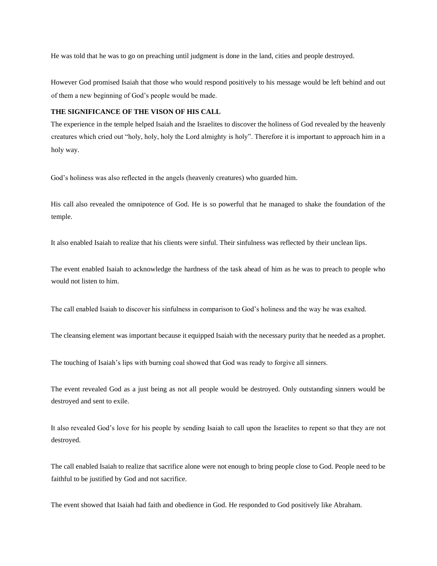He was told that he was to go on preaching until judgment is done in the land, cities and people destroyed.

However God promised Isaiah that those who would respond positively to his message would be left behind and out of them a new beginning of God's people would be made.

### **THE SIGNIFICANCE OF THE VISON OF HIS CALL**

The experience in the temple helped Isaiah and the Israelites to discover the holiness of God revealed by the heavenly creatures which cried out "holy, holy, holy the Lord almighty is holy". Therefore it is important to approach him in a holy way.

God's holiness was also reflected in the angels (heavenly creatures) who guarded him.

His call also revealed the omnipotence of God. He is so powerful that he managed to shake the foundation of the temple.

It also enabled Isaiah to realize that his clients were sinful. Their sinfulness was reflected by their unclean lips.

The event enabled Isaiah to acknowledge the hardness of the task ahead of him as he was to preach to people who would not listen to him.

The call enabled Isaiah to discover his sinfulness in comparison to God's holiness and the way he was exalted.

The cleansing element was important because it equipped Isaiah with the necessary purity that he needed as a prophet.

The touching of Isaiah's lips with burning coal showed that God was ready to forgive all sinners.

The event revealed God as a just being as not all people would be destroyed. Only outstanding sinners would be destroyed and sent to exile.

It also revealed God's love for his people by sending Isaiah to call upon the Israelites to repent so that they are not destroyed.

The call enabled Isaiah to realize that sacrifice alone were not enough to bring people close to God. People need to be faithful to be justified by God and not sacrifice.

The event showed that Isaiah had faith and obedience in God. He responded to God positively like Abraham.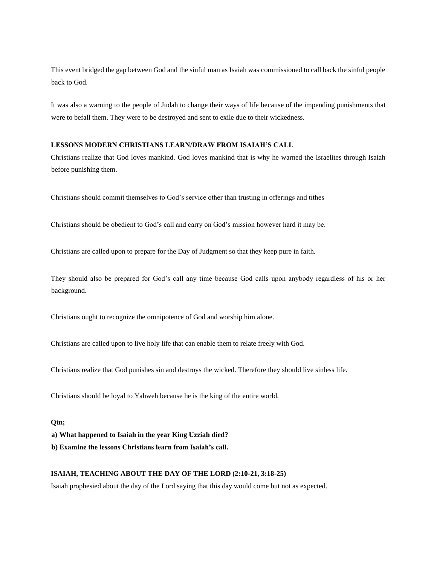This event bridged the gap between God and the sinful man as Isaiah was commissioned to call back the sinful people back to God.

It was also a warning to the people of Judah to change their ways of life because of the impending punishments that were to befall them. They were to be destroyed and sent to exile due to their wickedness.

### **LESSONS MODERN CHRISTIANS LEARN/DRAW FROM ISAIAH'S CALL**

Christians realize that God loves mankind. God loves mankind that is why he warned the Israelites through Isaiah before punishing them.

Christians should commit themselves to God's service other than trusting in offerings and tithes

Christians should be obedient to God's call and carry on God's mission however hard it may be.

Christians are called upon to prepare for the Day of Judgment so that they keep pure in faith.

They should also be prepared for God's call any time because God calls upon anybody regardless of his or her background.

Christians ought to recognize the omnipotence of God and worship him alone.

Christians are called upon to live holy life that can enable them to relate freely with God.

Christians realize that God punishes sin and destroys the wicked. Therefore they should live sinless life.

Christians should be loyal to Yahweh because he is the king of the entire world.

#### **Qtn;**

**a) What happened to Isaiah in the year King Uzziah died?** 

**b) Examine the lessons Christians learn from Isaiah's call.** 

#### **ISAIAH, TEACHING ABOUT THE DAY OF THE LORD (2:10-21, 3:18-25)**

Isaiah prophesied about the day of the Lord saying that this day would come but not as expected.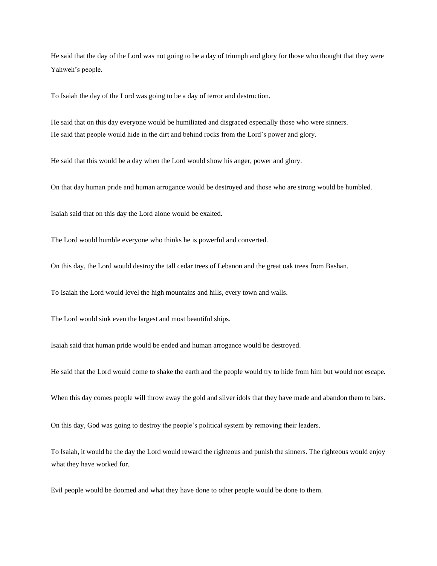He said that the day of the Lord was not going to be a day of triumph and glory for those who thought that they were Yahweh's people.

To Isaiah the day of the Lord was going to be a day of terror and destruction.

He said that on this day everyone would be humiliated and disgraced especially those who were sinners. He said that people would hide in the dirt and behind rocks from the Lord's power and glory.

He said that this would be a day when the Lord would show his anger, power and glory.

On that day human pride and human arrogance would be destroyed and those who are strong would be humbled.

Isaiah said that on this day the Lord alone would be exalted.

The Lord would humble everyone who thinks he is powerful and converted.

On this day, the Lord would destroy the tall cedar trees of Lebanon and the great oak trees from Bashan.

To Isaiah the Lord would level the high mountains and hills, every town and walls.

The Lord would sink even the largest and most beautiful ships.

Isaiah said that human pride would be ended and human arrogance would be destroyed.

He said that the Lord would come to shake the earth and the people would try to hide from him but would not escape.

When this day comes people will throw away the gold and silver idols that they have made and abandon them to bats.

On this day, God was going to destroy the people's political system by removing their leaders.

To Isaiah, it would be the day the Lord would reward the righteous and punish the sinners. The righteous would enjoy what they have worked for.

Evil people would be doomed and what they have done to other people would be done to them.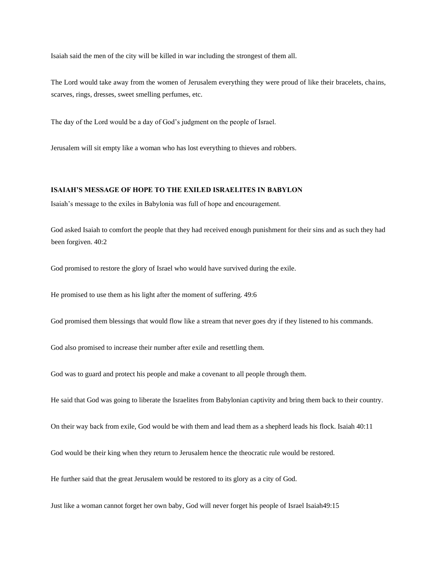Isaiah said the men of the city will be killed in war including the strongest of them all.

The Lord would take away from the women of Jerusalem everything they were proud of like their bracelets, chains, scarves, rings, dresses, sweet smelling perfumes, etc.

The day of the Lord would be a day of God's judgment on the people of Israel.

Jerusalem will sit empty like a woman who has lost everything to thieves and robbers.

#### **ISAIAH'S MESSAGE OF HOPE TO THE EXILED ISRAELITES IN BABYLON**

Isaiah's message to the exiles in Babylonia was full of hope and encouragement.

God asked Isaiah to comfort the people that they had received enough punishment for their sins and as such they had been forgiven. 40:2

God promised to restore the glory of Israel who would have survived during the exile.

He promised to use them as his light after the moment of suffering. 49:6

God promised them blessings that would flow like a stream that never goes dry if they listened to his commands.

God also promised to increase their number after exile and resettling them.

God was to guard and protect his people and make a covenant to all people through them.

He said that God was going to liberate the Israelites from Babylonian captivity and bring them back to their country.

On their way back from exile, God would be with them and lead them as a shepherd leads his flock. Isaiah 40:11

God would be their king when they return to Jerusalem hence the theocratic rule would be restored.

He further said that the great Jerusalem would be restored to its glory as a city of God.

Just like a woman cannot forget her own baby, God will never forget his people of Israel Isaiah49:15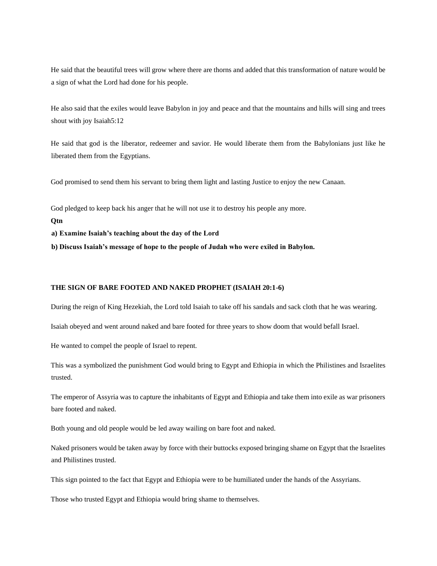He said that the beautiful trees will grow where there are thorns and added that this transformation of nature would be a sign of what the Lord had done for his people.

He also said that the exiles would leave Babylon in joy and peace and that the mountains and hills will sing and trees shout with joy Isaiah5:12

He said that god is the liberator, redeemer and savior. He would liberate them from the Babylonians just like he liberated them from the Egyptians.

God promised to send them his servant to bring them light and lasting Justice to enjoy the new Canaan.

God pledged to keep back his anger that he will not use it to destroy his people any more.

**Qtn** 

**a) Examine Isaiah's teaching about the day of the Lord** 

**b) Discuss Isaiah's message of hope to the people of Judah who were exiled in Babylon.** 

### **THE SIGN OF BARE FOOTED AND NAKED PROPHET (ISAIAH 20:1-6)**

During the reign of King Hezekiah, the Lord told Isaiah to take off his sandals and sack cloth that he was wearing.

Isaiah obeyed and went around naked and bare footed for three years to show doom that would befall Israel.

He wanted to compel the people of Israel to repent.

This was a symbolized the punishment God would bring to Egypt and Ethiopia in which the Philistines and Israelites trusted.

The emperor of Assyria was to capture the inhabitants of Egypt and Ethiopia and take them into exile as war prisoners bare footed and naked.

Both young and old people would be led away wailing on bare foot and naked.

Naked prisoners would be taken away by force with their buttocks exposed bringing shame on Egypt that the Israelites and Philistines trusted.

This sign pointed to the fact that Egypt and Ethiopia were to be humiliated under the hands of the Assyrians.

Those who trusted Egypt and Ethiopia would bring shame to themselves.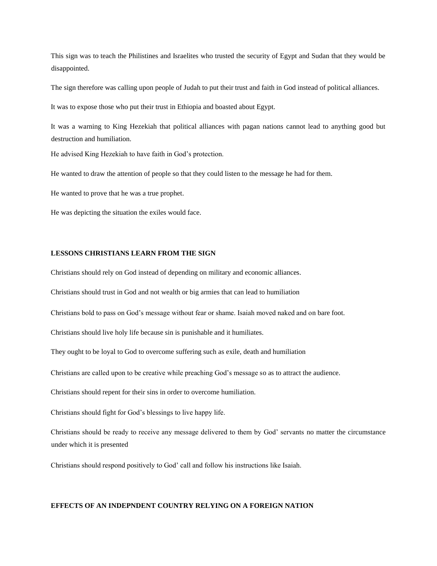This sign was to teach the Philistines and Israelites who trusted the security of Egypt and Sudan that they would be disappointed.

The sign therefore was calling upon people of Judah to put their trust and faith in God instead of political alliances.

It was to expose those who put their trust in Ethiopia and boasted about Egypt.

It was a warning to King Hezekiah that political alliances with pagan nations cannot lead to anything good but destruction and humiliation.

He advised King Hezekiah to have faith in God's protection.

He wanted to draw the attention of people so that they could listen to the message he had for them.

He wanted to prove that he was a true prophet.

He was depicting the situation the exiles would face.

#### **LESSONS CHRISTIANS LEARN FROM THE SIGN**

Christians should rely on God instead of depending on military and economic alliances.

Christians should trust in God and not wealth or big armies that can lead to humiliation

Christians bold to pass on God's message without fear or shame. Isaiah moved naked and on bare foot.

Christians should live holy life because sin is punishable and it humiliates.

They ought to be loyal to God to overcome suffering such as exile, death and humiliation

Christians are called upon to be creative while preaching God's message so as to attract the audience.

Christians should repent for their sins in order to overcome humiliation.

Christians should fight for God's blessings to live happy life.

Christians should be ready to receive any message delivered to them by God' servants no matter the circumstance under which it is presented

Christians should respond positively to God' call and follow his instructions like Isaiah.

#### **EFFECTS OF AN INDEPNDENT COUNTRY RELYING ON A FOREIGN NATION**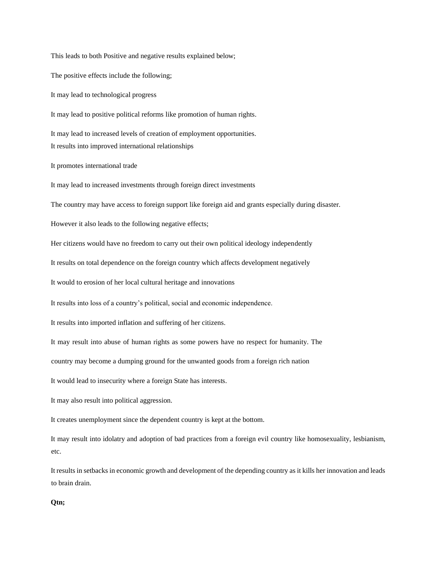The positive effects include the following; It may lead to technological progress It may lead to positive political reforms like promotion of human rights. It may lead to increased levels of creation of employment opportunities. It results into improved international relationships It promotes international trade It may lead to increased investments through foreign direct investments The country may have access to foreign support like foreign aid and grants especially during disaster. However it also leads to the following negative effects; Her citizens would have no freedom to carry out their own political ideology independently It results on total dependence on the foreign country which affects development negatively It would to erosion of her local cultural heritage and innovations It results into loss of a country's political, social and economic independence. It results into imported inflation and suffering of her citizens. It may result into abuse of human rights as some powers have no respect for humanity. The country may become a dumping ground for the unwanted goods from a foreign rich nation It would lead to insecurity where a foreign State has interests. It may also result into political aggression. It creates unemployment since the dependent country is kept at the bottom. It may result into idolatry and adoption of bad practices from a foreign evil country like homosexuality, lesbianism, etc. It results in setbacks in economic growth and development of the depending country as it kills her innovation and leads to brain drain.

This leads to both Positive and negative results explained below;

### **Qtn;**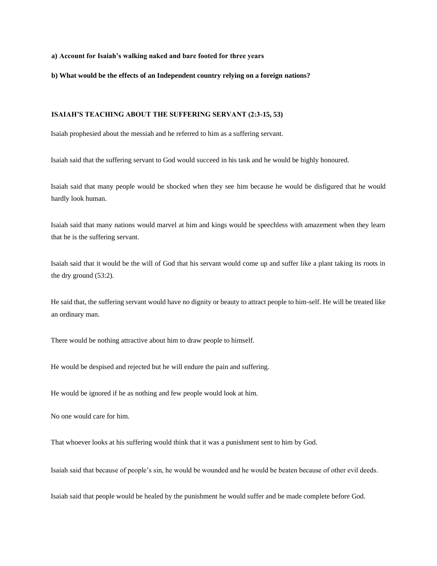**a) Account for Isaiah's walking naked and bare footed for three years** 

**b) What would be the effects of an Independent country relying on a foreign nations?** 

### **ISAIAH'S TEACHING ABOUT THE SUFFERING SERVANT (2:3-15, 53)**

Isaiah prophesied about the messiah and he referred to him as a suffering servant.

Isaiah said that the suffering servant to God would succeed in his task and he would be highly honoured.

Isaiah said that many people would be shocked when they see him because he would be disfigured that he would hardly look human.

Isaiah said that many nations would marvel at him and kings would be speechless with amazement when they learn that he is the suffering servant.

Isaiah said that it would be the will of God that his servant would come up and suffer like a plant taking its roots in the dry ground (53:2).

He said that, the suffering servant would have no dignity or beauty to attract people to him-self. He will be treated like an ordinary man.

There would be nothing attractive about him to draw people to himself.

He would be despised and rejected but he will endure the pain and suffering.

He would be ignored if he as nothing and few people would look at him.

No one would care for him.

That whoever looks at his suffering would think that it was a punishment sent to him by God.

Isaiah said that because of people's sin, he would be wounded and he would be beaten because of other evil deeds.

Isaiah said that people would be healed by the punishment he would suffer and be made complete before God.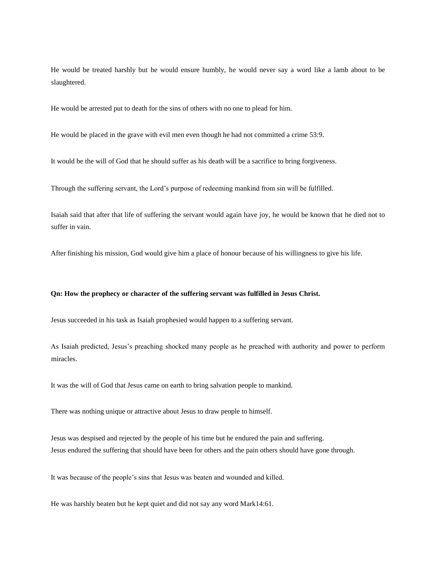He would be treated harshly but he would ensure humbly, he would never say a word like a lamb about to be slaughtered.

He would be arrested put to death for the sins of others with no one to plead for him.

He would be placed in the grave with evil men even though he had not committed a crime 53:9.

It would be the will of God that he should suffer as his death will be a sacrifice to bring forgiveness.

Through the suffering servant, the Lord's purpose of redeeming mankind from sin will be fulfilled.

Isaiah said that after that life of suffering the servant would again have joy, he would be known that he died not to suffer in vain.

After finishing his mission, God would give him a place of honour because of his willingness to give his life.

#### **Qn: How the prophecy or character of the suffering servant was fulfilled in Jesus Christ.**

Jesus succeeded in his task as Isaiah prophesied would happen to a suffering servant.

As Isaiah predicted, Jesus's preaching shocked many people as he preached with authority and power to perform miracles.

It was the will of God that Jesus came on earth to bring salvation people to mankind.

There was nothing unique or attractive about Jesus to draw people to himself.

Jesus was despised and rejected by the people of his time but he endured the pain and suffering. Jesus endured the suffering that should have been for others and the pain others should have gone through.

It was because of the people's sins that Jesus was beaten and wounded and killed.

He was harshly beaten but he kept quiet and did not say any word Mark14:61.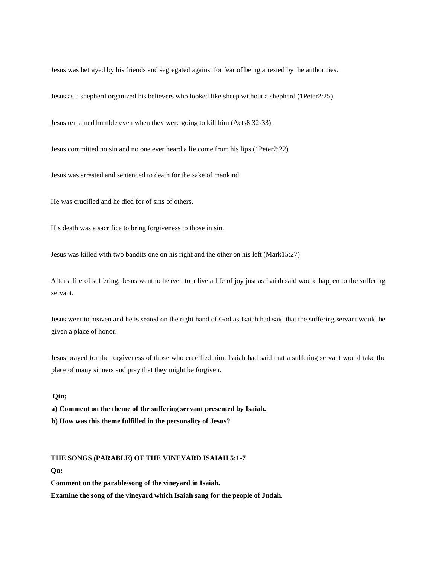Jesus was betrayed by his friends and segregated against for fear of being arrested by the authorities.

Jesus as a shepherd organized his believers who looked like sheep without a shepherd (1Peter2:25)

Jesus remained humble even when they were going to kill him (Acts8:32-33).

Jesus committed no sin and no one ever heard a lie come from his lips (1Peter2:22)

Jesus was arrested and sentenced to death for the sake of mankind.

He was crucified and he died for of sins of others.

His death was a sacrifice to bring forgiveness to those in sin.

Jesus was killed with two bandits one on his right and the other on his left (Mark15:27)

After a life of suffering, Jesus went to heaven to a live a life of joy just as Isaiah said would happen to the suffering servant.

Jesus went to heaven and he is seated on the right hand of God as Isaiah had said that the suffering servant would be given a place of honor.

Jesus prayed for the forgiveness of those who crucified him. Isaiah had said that a suffering servant would take the place of many sinners and pray that they might be forgiven.

### **Qtn;**

**a) Comment on the theme of the suffering servant presented by Isaiah.** 

**b) How was this theme fulfilled in the personality of Jesus?**

#### **THE SONGS (PARABLE) OF THE VINEYARD ISAIAH 5:1-7**

**Qn:** 

**Comment on the parable/song of the vineyard in Isaiah.** 

**Examine the song of the vineyard which Isaiah sang for the people of Judah.**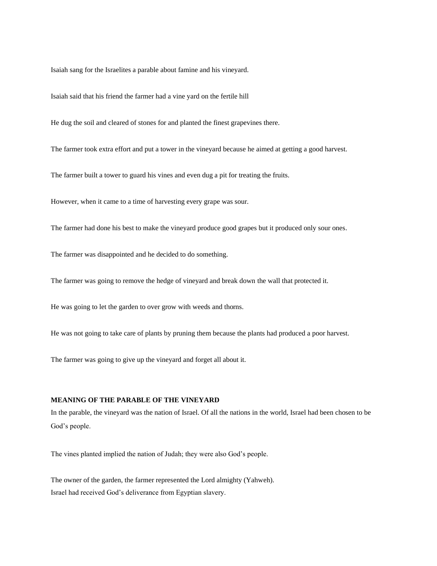Isaiah sang for the Israelites a parable about famine and his vineyard.

Isaiah said that his friend the farmer had a vine yard on the fertile hill

He dug the soil and cleared of stones for and planted the finest grapevines there.

The farmer took extra effort and put a tower in the vineyard because he aimed at getting a good harvest.

The farmer built a tower to guard his vines and even dug a pit for treating the fruits.

However, when it came to a time of harvesting every grape was sour.

The farmer had done his best to make the vineyard produce good grapes but it produced only sour ones.

The farmer was disappointed and he decided to do something.

The farmer was going to remove the hedge of vineyard and break down the wall that protected it.

He was going to let the garden to over grow with weeds and thorns.

He was not going to take care of plants by pruning them because the plants had produced a poor harvest.

The farmer was going to give up the vineyard and forget all about it.

#### **MEANING OF THE PARABLE OF THE VINEYARD**

In the parable, the vineyard was the nation of Israel. Of all the nations in the world, Israel had been chosen to be God's people.

The vines planted implied the nation of Judah; they were also God's people.

The owner of the garden, the farmer represented the Lord almighty (Yahweh). Israel had received God's deliverance from Egyptian slavery.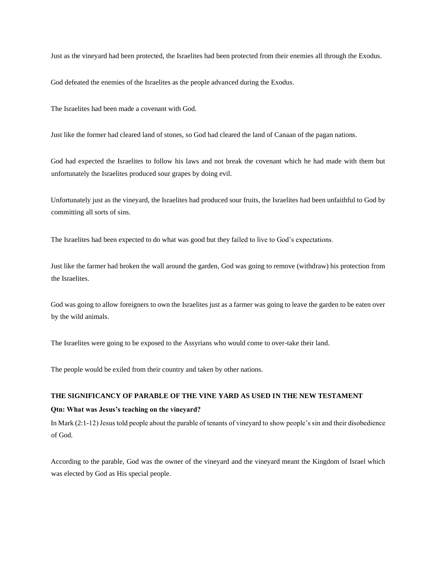Just as the vineyard had been protected, the Israelites had been protected from their enemies all through the Exodus.

God defeated the enemies of the Israelites as the people advanced during the Exodus.

The Israelites had been made a covenant with God.

Just like the former had cleared land of stones, so God had cleared the land of Canaan of the pagan nations.

God had expected the Israelites to follow his laws and not break the covenant which he had made with them but unfortunately the Israelites produced sour grapes by doing evil.

Unfortunately just as the vineyard, the Israelites had produced sour fruits, the Israelites had been unfaithful to God by committing all sorts of sins.

The Israelites had been expected to do what was good but they failed to live to God's expectations.

Just like the farmer had broken the wall around the garden, God was going to remove (withdraw) his protection from the Israelites.

God was going to allow foreigners to own the Israelites just as a farmer was going to leave the garden to be eaten over by the wild animals.

The Israelites were going to be exposed to the Assyrians who would come to over-take their land.

The people would be exiled from their country and taken by other nations.

### **THE SIGNIFICANCY OF PARABLE OF THE VINE YARD AS USED IN THE NEW TESTAMENT**

#### **Qtn: What was Jesus's teaching on the vineyard?**

In Mark (2:1-12) Jesus told people about the parable of tenants of vineyard to show people's sin and their disobedience of God.

According to the parable, God was the owner of the vineyard and the vineyard meant the Kingdom of Israel which was elected by God as His special people.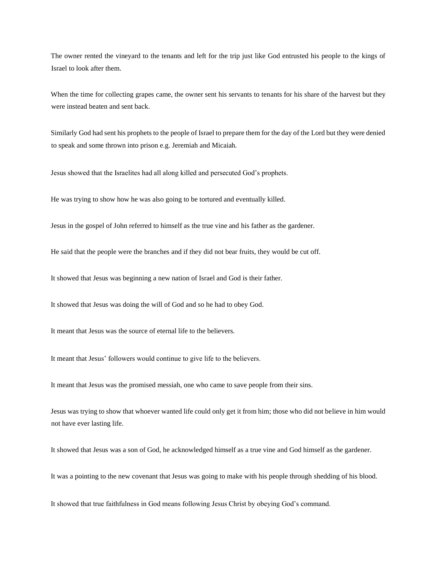The owner rented the vineyard to the tenants and left for the trip just like God entrusted his people to the kings of Israel to look after them.

When the time for collecting grapes came, the owner sent his servants to tenants for his share of the harvest but they were instead beaten and sent back.

Similarly God had sent his prophets to the people of Israel to prepare them for the day of the Lord but they were denied to speak and some thrown into prison e.g. Jeremiah and Micaiah.

Jesus showed that the Israelites had all along killed and persecuted God's prophets.

He was trying to show how he was also going to be tortured and eventually killed.

Jesus in the gospel of John referred to himself as the true vine and his father as the gardener.

He said that the people were the branches and if they did not bear fruits, they would be cut off.

It showed that Jesus was beginning a new nation of Israel and God is their father.

It showed that Jesus was doing the will of God and so he had to obey God.

It meant that Jesus was the source of eternal life to the believers.

It meant that Jesus' followers would continue to give life to the believers.

It meant that Jesus was the promised messiah, one who came to save people from their sins.

Jesus was trying to show that whoever wanted life could only get it from him; those who did not believe in him would not have ever lasting life.

It showed that Jesus was a son of God, he acknowledged himself as a true vine and God himself as the gardener.

It was a pointing to the new covenant that Jesus was going to make with his people through shedding of his blood.

It showed that true faithfulness in God means following Jesus Christ by obeying God's command.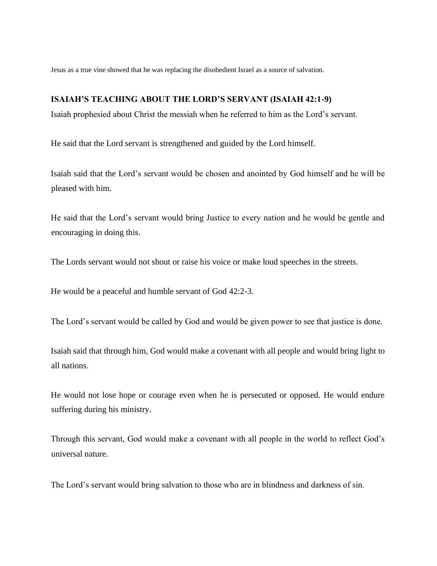Jesus as a true vine showed that he was replacing the disobedient Israel as a source of salvation.

## **ISAIAH'S TEACHING ABOUT THE LORD'S SERVANT (ISAIAH 42:1-9)**

Isaiah prophesied about Christ the messiah when he referred to him as the Lord's servant.

He said that the Lord servant is strengthened and guided by the Lord himself.

Isaiah said that the Lord's servant would be chosen and anointed by God himself and he will be pleased with him.

He said that the Lord's servant would bring Justice to every nation and he would be gentle and encouraging in doing this.

The Lords servant would not shout or raise his voice or make loud speeches in the streets.

He would be a peaceful and humble servant of God 42:2-3.

The Lord's servant would be called by God and would be given power to see that justice is done.

Isaiah said that through him, God would make a covenant with all people and would bring light to all nations.

He would not lose hope or courage even when he is persecuted or opposed. He would endure suffering during his ministry.

Through this servant, God would make a covenant with all people in the world to reflect God's universal nature.

The Lord's servant would bring salvation to those who are in blindness and darkness of sin.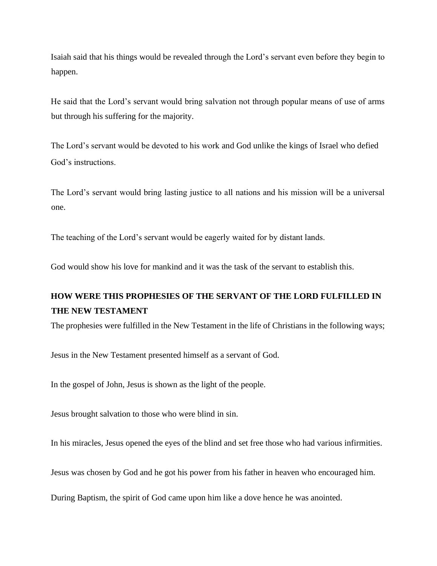Isaiah said that his things would be revealed through the Lord's servant even before they begin to happen.

He said that the Lord's servant would bring salvation not through popular means of use of arms but through his suffering for the majority.

The Lord's servant would be devoted to his work and God unlike the kings of Israel who defied God's instructions.

The Lord's servant would bring lasting justice to all nations and his mission will be a universal one.

The teaching of the Lord's servant would be eagerly waited for by distant lands.

God would show his love for mankind and it was the task of the servant to establish this.

# **HOW WERE THIS PROPHESIES OF THE SERVANT OF THE LORD FULFILLED IN THE NEW TESTAMENT**

The prophesies were fulfilled in the New Testament in the life of Christians in the following ways;

Jesus in the New Testament presented himself as a servant of God.

In the gospel of John, Jesus is shown as the light of the people.

Jesus brought salvation to those who were blind in sin.

In his miracles, Jesus opened the eyes of the blind and set free those who had various infirmities.

Jesus was chosen by God and he got his power from his father in heaven who encouraged him.

During Baptism, the spirit of God came upon him like a dove hence he was anointed.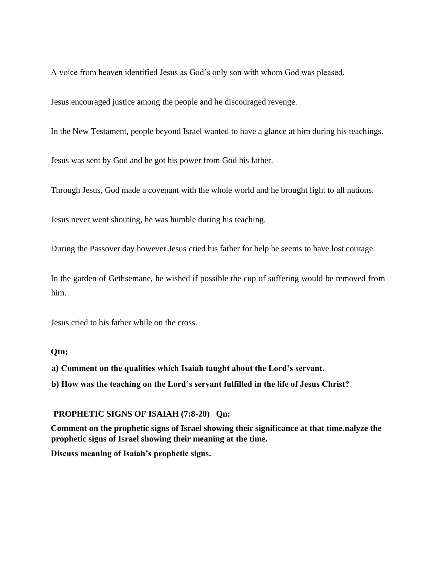A voice from heaven identified Jesus as God's only son with whom God was pleased.

Jesus encouraged justice among the people and he discouraged revenge.

In the New Testament, people beyond Israel wanted to have a glance at him during his teachings.

Jesus was sent by God and he got his power from God his father.

Through Jesus, God made a covenant with the whole world and he brought light to all nations.

Jesus never went shouting, he was humble during his teaching.

During the Passover day however Jesus cried his father for help he seems to have lost courage.

In the garden of Gethsemane, he wished if possible the cup of suffering would be removed from him.

Jesus cried to his father while on the cross.

## **Qtn;**

**a) Comment on the qualities which Isaiah taught about the Lord's servant.** 

**b) How was the teaching on the Lord's servant fulfilled in the life of Jesus Christ?** 

### **PROPHETIC SIGNS OF ISAIAH (7:8-20) Qn:**

**Comment on the prophetic signs of Israel showing their significance at that time.nalyze the prophetic signs of Israel showing their meaning at the time.** 

**Discuss meaning of Isaiah's prophetic signs.**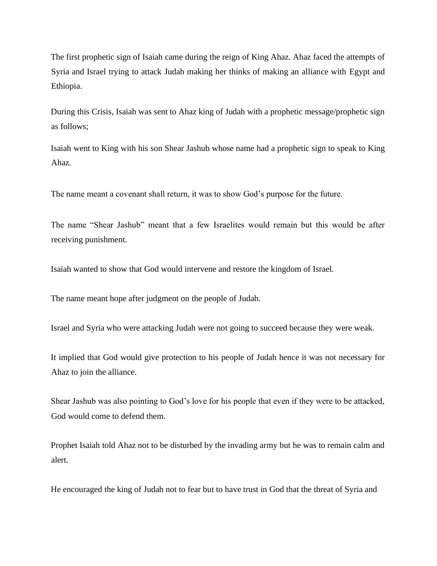The first prophetic sign of Isaiah came during the reign of King Ahaz. Ahaz faced the attempts of Syria and Israel trying to attack Judah making her thinks of making an alliance with Egypt and Ethiopia.

During this Crisis, Isaiah was sent to Ahaz king of Judah with a prophetic message/prophetic sign as follows;

Isaiah went to King with his son Shear Jashub whose name had a prophetic sign to speak to King Ahaz.

The name meant a covenant shall return, it was to show God's purpose for the future.

The name "Shear Jashub" meant that a few Israelites would remain but this would be after receiving punishment.

Isaiah wanted to show that God would intervene and restore the kingdom of Israel.

The name meant hope after judgment on the people of Judah.

Israel and Syria who were attacking Judah were not going to succeed because they were weak.

It implied that God would give protection to his people of Judah hence it was not necessary for Ahaz to join the alliance.

Shear Jashub was also pointing to God's love for his people that even if they were to be attacked, God would come to defend them.

Prophet Isaiah told Ahaz not to be disturbed by the invading army but he was to remain calm and alert.

He encouraged the king of Judah not to fear but to have trust in God that the threat of Syria and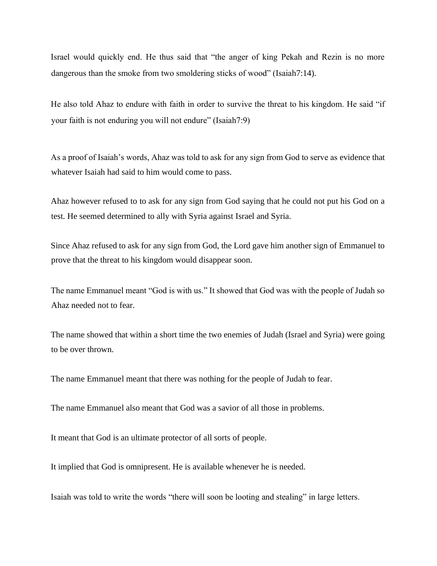Israel would quickly end. He thus said that "the anger of king Pekah and Rezin is no more dangerous than the smoke from two smoldering sticks of wood" (Isaiah7:14).

He also told Ahaz to endure with faith in order to survive the threat to his kingdom. He said "if your faith is not enduring you will not endure" (Isaiah7:9)

As a proof of Isaiah's words, Ahaz was told to ask for any sign from God to serve as evidence that whatever Isaiah had said to him would come to pass.

Ahaz however refused to to ask for any sign from God saying that he could not put his God on a test. He seemed determined to ally with Syria against Israel and Syria.

Since Ahaz refused to ask for any sign from God, the Lord gave him another sign of Emmanuel to prove that the threat to his kingdom would disappear soon.

The name Emmanuel meant "God is with us." It showed that God was with the people of Judah so Ahaz needed not to fear.

The name showed that within a short time the two enemies of Judah (Israel and Syria) were going to be over thrown.

The name Emmanuel meant that there was nothing for the people of Judah to fear.

The name Emmanuel also meant that God was a savior of all those in problems.

It meant that God is an ultimate protector of all sorts of people.

It implied that God is omnipresent. He is available whenever he is needed.

Isaiah was told to write the words "there will soon be looting and stealing" in large letters.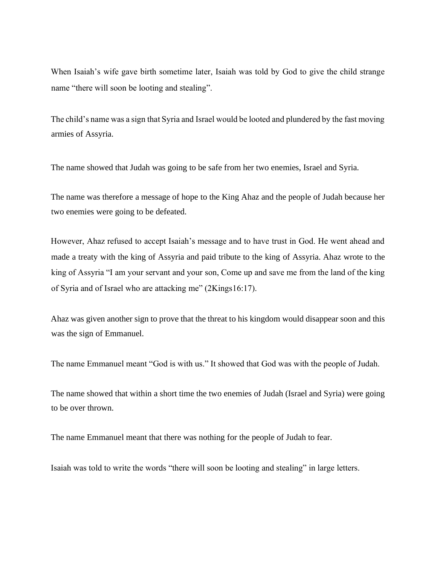When Isaiah's wife gave birth sometime later, Isaiah was told by God to give the child strange name "there will soon be looting and stealing".

The child's name was a sign that Syria and Israel would be looted and plundered by the fast moving armies of Assyria.

The name showed that Judah was going to be safe from her two enemies, Israel and Syria.

The name was therefore a message of hope to the King Ahaz and the people of Judah because her two enemies were going to be defeated.

However, Ahaz refused to accept Isaiah's message and to have trust in God. He went ahead and made a treaty with the king of Assyria and paid tribute to the king of Assyria. Ahaz wrote to the king of Assyria "I am your servant and your son, Come up and save me from the land of the king of Syria and of Israel who are attacking me" (2Kings16:17).

Ahaz was given another sign to prove that the threat to his kingdom would disappear soon and this was the sign of Emmanuel.

The name Emmanuel meant "God is with us." It showed that God was with the people of Judah.

The name showed that within a short time the two enemies of Judah (Israel and Syria) were going to be over thrown.

The name Emmanuel meant that there was nothing for the people of Judah to fear.

Isaiah was told to write the words "there will soon be looting and stealing" in large letters.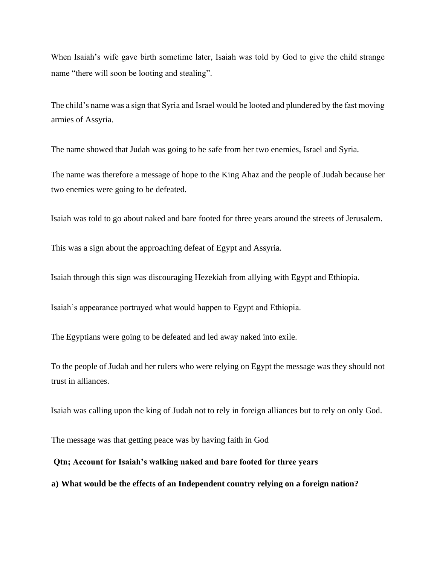When Isaiah's wife gave birth sometime later, Isaiah was told by God to give the child strange name "there will soon be looting and stealing".

The child's name was a sign that Syria and Israel would be looted and plundered by the fast moving armies of Assyria.

The name showed that Judah was going to be safe from her two enemies, Israel and Syria.

The name was therefore a message of hope to the King Ahaz and the people of Judah because her two enemies were going to be defeated.

Isaiah was told to go about naked and bare footed for three years around the streets of Jerusalem.

This was a sign about the approaching defeat of Egypt and Assyria.

Isaiah through this sign was discouraging Hezekiah from allying with Egypt and Ethiopia.

Isaiah's appearance portrayed what would happen to Egypt and Ethiopia.

The Egyptians were going to be defeated and led away naked into exile.

To the people of Judah and her rulers who were relying on Egypt the message was they should not trust in alliances.

Isaiah was calling upon the king of Judah not to rely in foreign alliances but to rely on only God.

The message was that getting peace was by having faith in God

### **Qtn; Account for Isaiah's walking naked and bare footed for three years**

**a) What would be the effects of an Independent country relying on a foreign nation?**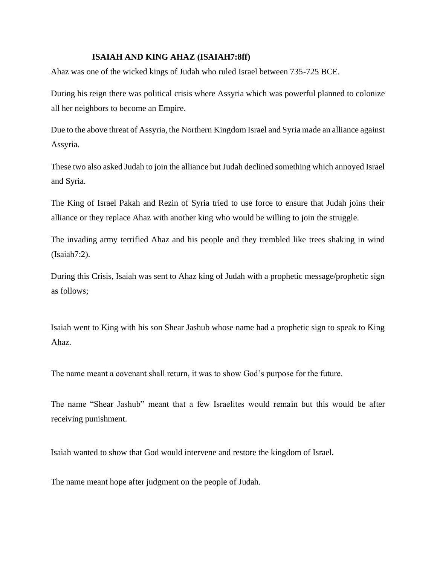## **ISAIAH AND KING AHAZ (ISAIAH7:8ff)**

Ahaz was one of the wicked kings of Judah who ruled Israel between 735-725 BCE.

During his reign there was political crisis where Assyria which was powerful planned to colonize all her neighbors to become an Empire.

Due to the above threat of Assyria, the Northern Kingdom Israel and Syria made an alliance against Assyria.

These two also asked Judah to join the alliance but Judah declined something which annoyed Israel and Syria.

The King of Israel Pakah and Rezin of Syria tried to use force to ensure that Judah joins their alliance or they replace Ahaz with another king who would be willing to join the struggle.

The invading army terrified Ahaz and his people and they trembled like trees shaking in wind (Isaiah7:2).

During this Crisis, Isaiah was sent to Ahaz king of Judah with a prophetic message/prophetic sign as follows;

Isaiah went to King with his son Shear Jashub whose name had a prophetic sign to speak to King Ahaz.

The name meant a covenant shall return, it was to show God's purpose for the future.

The name "Shear Jashub" meant that a few Israelites would remain but this would be after receiving punishment.

Isaiah wanted to show that God would intervene and restore the kingdom of Israel.

The name meant hope after judgment on the people of Judah.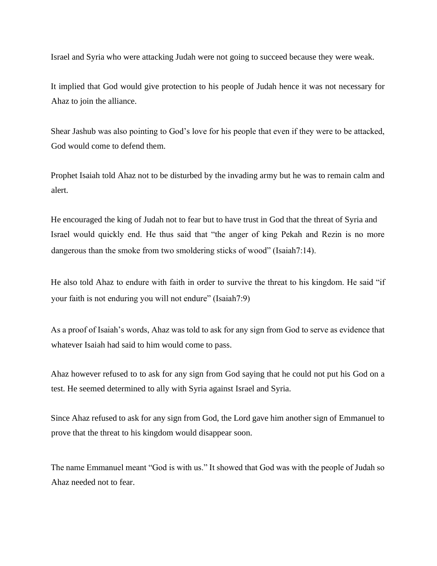Israel and Syria who were attacking Judah were not going to succeed because they were weak.

It implied that God would give protection to his people of Judah hence it was not necessary for Ahaz to join the alliance.

Shear Jashub was also pointing to God's love for his people that even if they were to be attacked, God would come to defend them.

Prophet Isaiah told Ahaz not to be disturbed by the invading army but he was to remain calm and alert.

He encouraged the king of Judah not to fear but to have trust in God that the threat of Syria and Israel would quickly end. He thus said that "the anger of king Pekah and Rezin is no more dangerous than the smoke from two smoldering sticks of wood" (Isaiah7:14).

He also told Ahaz to endure with faith in order to survive the threat to his kingdom. He said "if your faith is not enduring you will not endure" (Isaiah7:9)

As a proof of Isaiah's words, Ahaz was told to ask for any sign from God to serve as evidence that whatever Isaiah had said to him would come to pass.

Ahaz however refused to to ask for any sign from God saying that he could not put his God on a test. He seemed determined to ally with Syria against Israel and Syria.

Since Ahaz refused to ask for any sign from God, the Lord gave him another sign of Emmanuel to prove that the threat to his kingdom would disappear soon.

The name Emmanuel meant "God is with us." It showed that God was with the people of Judah so Ahaz needed not to fear.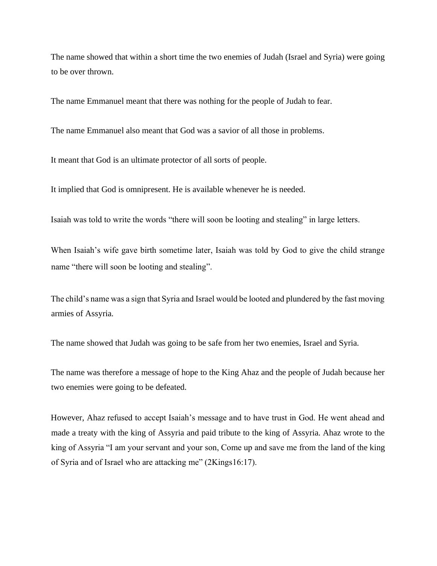The name showed that within a short time the two enemies of Judah (Israel and Syria) were going to be over thrown.

The name Emmanuel meant that there was nothing for the people of Judah to fear.

The name Emmanuel also meant that God was a savior of all those in problems.

It meant that God is an ultimate protector of all sorts of people.

It implied that God is omnipresent. He is available whenever he is needed.

Isaiah was told to write the words "there will soon be looting and stealing" in large letters.

When Isaiah's wife gave birth sometime later, Isaiah was told by God to give the child strange name "there will soon be looting and stealing".

The child's name was a sign that Syria and Israel would be looted and plundered by the fast moving armies of Assyria.

The name showed that Judah was going to be safe from her two enemies, Israel and Syria.

The name was therefore a message of hope to the King Ahaz and the people of Judah because her two enemies were going to be defeated.

However, Ahaz refused to accept Isaiah's message and to have trust in God. He went ahead and made a treaty with the king of Assyria and paid tribute to the king of Assyria. Ahaz wrote to the king of Assyria "I am your servant and your son, Come up and save me from the land of the king of Syria and of Israel who are attacking me" (2Kings16:17).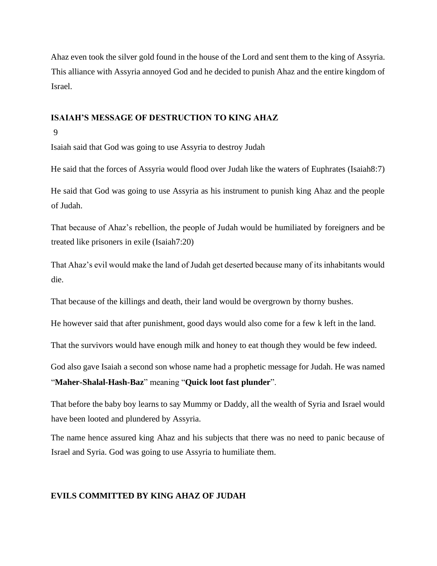Ahaz even took the silver gold found in the house of the Lord and sent them to the king of Assyria. This alliance with Assyria annoyed God and he decided to punish Ahaz and the entire kingdom of Israel.

# **ISAIAH'S MESSAGE OF DESTRUCTION TO KING AHAZ**

9

Isaiah said that God was going to use Assyria to destroy Judah

He said that the forces of Assyria would flood over Judah like the waters of Euphrates (Isaiah8:7)

He said that God was going to use Assyria as his instrument to punish king Ahaz and the people of Judah.

That because of Ahaz's rebellion, the people of Judah would be humiliated by foreigners and be treated like prisoners in exile (Isaiah7:20)

That Ahaz's evil would make the land of Judah get deserted because many of its inhabitants would die.

That because of the killings and death, their land would be overgrown by thorny bushes.

He however said that after punishment, good days would also come for a few k left in the land.

That the survivors would have enough milk and honey to eat though they would be few indeed.

God also gave Isaiah a second son whose name had a prophetic message for Judah. He was named "**Maher-Shalal-Hash-Baz**" meaning "**Quick loot fast plunder**".

That before the baby boy learns to say Mummy or Daddy, all the wealth of Syria and Israel would have been looted and plundered by Assyria.

The name hence assured king Ahaz and his subjects that there was no need to panic because of Israel and Syria. God was going to use Assyria to humiliate them.

# **EVILS COMMITTED BY KING AHAZ OF JUDAH**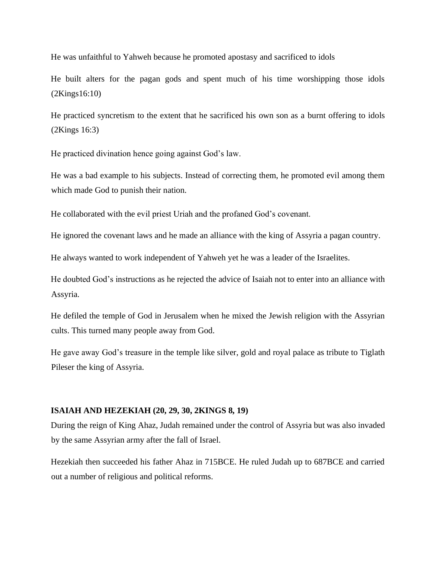He was unfaithful to Yahweh because he promoted apostasy and sacrificed to idols

He built alters for the pagan gods and spent much of his time worshipping those idols (2Kings16:10)

He practiced syncretism to the extent that he sacrificed his own son as a burnt offering to idols (2Kings 16:3)

He practiced divination hence going against God's law.

He was a bad example to his subjects. Instead of correcting them, he promoted evil among them which made God to punish their nation.

He collaborated with the evil priest Uriah and the profaned God's covenant.

He ignored the covenant laws and he made an alliance with the king of Assyria a pagan country.

He always wanted to work independent of Yahweh yet he was a leader of the Israelites.

He doubted God's instructions as he rejected the advice of Isaiah not to enter into an alliance with Assyria.

He defiled the temple of God in Jerusalem when he mixed the Jewish religion with the Assyrian cults. This turned many people away from God.

He gave away God's treasure in the temple like silver, gold and royal palace as tribute to Tiglath Pileser the king of Assyria.

### **ISAIAH AND HEZEKIAH (20, 29, 30, 2KINGS 8, 19)**

During the reign of King Ahaz, Judah remained under the control of Assyria but was also invaded by the same Assyrian army after the fall of Israel.

Hezekiah then succeeded his father Ahaz in 715BCE. He ruled Judah up to 687BCE and carried out a number of religious and political reforms.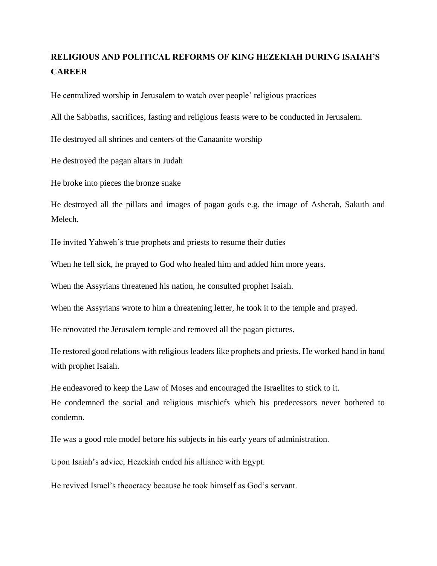# **RELIGIOUS AND POLITICAL REFORMS OF KING HEZEKIAH DURING ISAIAH'S CAREER**

He centralized worship in Jerusalem to watch over people' religious practices

All the Sabbaths, sacrifices, fasting and religious feasts were to be conducted in Jerusalem.

He destroyed all shrines and centers of the Canaanite worship

He destroyed the pagan altars in Judah

He broke into pieces the bronze snake

He destroyed all the pillars and images of pagan gods e.g. the image of Asherah, Sakuth and Melech.

He invited Yahweh's true prophets and priests to resume their duties

When he fell sick, he prayed to God who healed him and added him more years.

When the Assyrians threatened his nation, he consulted prophet Isaiah.

When the Assyrians wrote to him a threatening letter, he took it to the temple and prayed.

He renovated the Jerusalem temple and removed all the pagan pictures.

He restored good relations with religious leaders like prophets and priests. He worked hand in hand with prophet Isaiah.

He endeavored to keep the Law of Moses and encouraged the Israelites to stick to it. He condemned the social and religious mischiefs which his predecessors never bothered to condemn.

He was a good role model before his subjects in his early years of administration.

Upon Isaiah's advice, Hezekiah ended his alliance with Egypt.

He revived Israel's theocracy because he took himself as God's servant.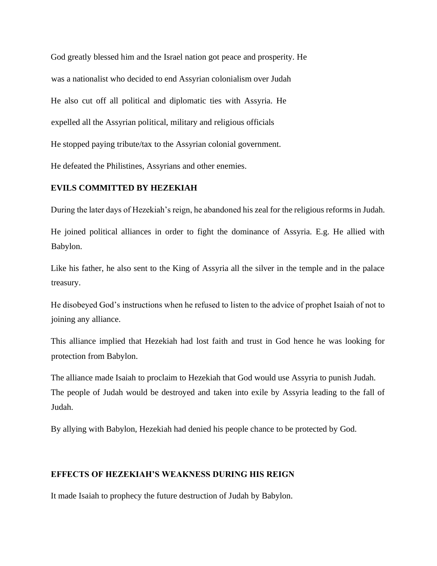God greatly blessed him and the Israel nation got peace and prosperity. He was a nationalist who decided to end Assyrian colonialism over Judah He also cut off all political and diplomatic ties with Assyria. He expelled all the Assyrian political, military and religious officials He stopped paying tribute/tax to the Assyrian colonial government. He defeated the Philistines, Assyrians and other enemies.

## **EVILS COMMITTED BY HEZEKIAH**

During the later days of Hezekiah's reign, he abandoned his zeal for the religious reforms in Judah.

He joined political alliances in order to fight the dominance of Assyria. E.g. He allied with Babylon.

Like his father, he also sent to the King of Assyria all the silver in the temple and in the palace treasury.

He disobeyed God's instructions when he refused to listen to the advice of prophet Isaiah of not to joining any alliance.

This alliance implied that Hezekiah had lost faith and trust in God hence he was looking for protection from Babylon.

The alliance made Isaiah to proclaim to Hezekiah that God would use Assyria to punish Judah. The people of Judah would be destroyed and taken into exile by Assyria leading to the fall of Judah.

By allying with Babylon, Hezekiah had denied his people chance to be protected by God.

## **EFFECTS OF HEZEKIAH'S WEAKNESS DURING HIS REIGN**

It made Isaiah to prophecy the future destruction of Judah by Babylon.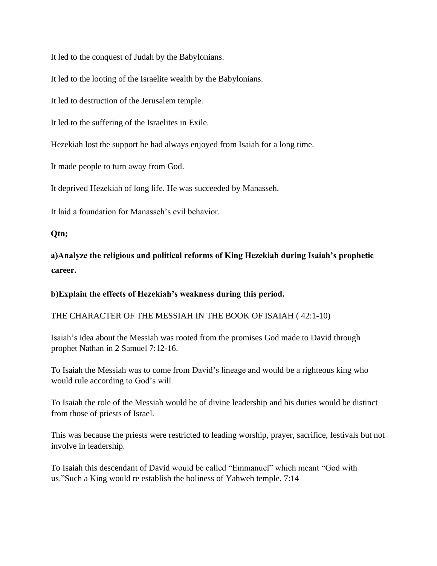It led to the conquest of Judah by the Babylonians.

It led to the looting of the Israelite wealth by the Babylonians.

It led to destruction of the Jerusalem temple.

It led to the suffering of the Israelites in Exile.

Hezekiah lost the support he had always enjoyed from Isaiah for a long time.

It made people to turn away from God.

It deprived Hezekiah of long life. He was succeeded by Manasseh.

It laid a foundation for Manasseh's evil behavior.

# **Qtn;**

**a)Analyze the religious and political reforms of King Hezekiah during Isaiah's prophetic career.** 

**b)Explain the effects of Hezekiah's weakness during this period.** 

# THE CHARACTER OF THE MESSIAH IN THE BOOK OF ISAIAH ( 42:1-10)

Isaiah's idea about the Messiah was rooted from the promises God made to David through prophet Nathan in 2 Samuel 7:12-16.

To Isaiah the Messiah was to come from David's lineage and would be a righteous king who would rule according to God's will.

To Isaiah the role of the Messiah would be of divine leadership and his duties would be distinct from those of priests of Israel.

This was because the priests were restricted to leading worship, prayer, sacrifice, festivals but not involve in leadership.

To Isaiah this descendant of David would be called "Emmanuel" which meant "God with us."Such a King would re establish the holiness of Yahweh temple. 7:14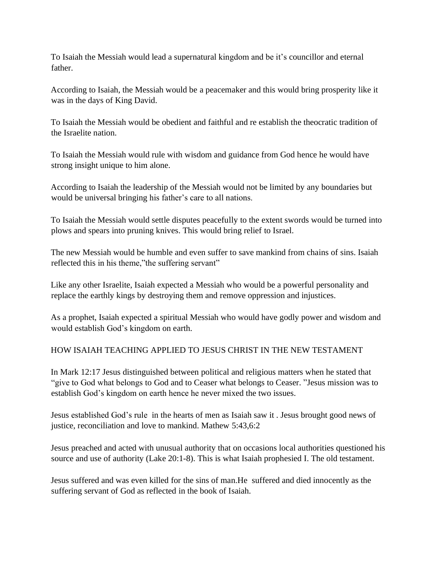To Isaiah the Messiah would lead a supernatural kingdom and be it's councillor and eternal father.

According to Isaiah, the Messiah would be a peacemaker and this would bring prosperity like it was in the days of King David.

To Isaiah the Messiah would be obedient and faithful and re establish the theocratic tradition of the Israelite nation.

To Isaiah the Messiah would rule with wisdom and guidance from God hence he would have strong insight unique to him alone.

According to Isaiah the leadership of the Messiah would not be limited by any boundaries but would be universal bringing his father's care to all nations.

To Isaiah the Messiah would settle disputes peacefully to the extent swords would be turned into plows and spears into pruning knives. This would bring relief to Israel.

The new Messiah would be humble and even suffer to save mankind from chains of sins. Isaiah reflected this in his theme,"the suffering servant"

Like any other Israelite, Isaiah expected a Messiah who would be a powerful personality and replace the earthly kings by destroying them and remove oppression and injustices.

As a prophet, Isaiah expected a spiritual Messiah who would have godly power and wisdom and would establish God's kingdom on earth.

# HOW ISAIAH TEACHING APPLIED TO JESUS CHRIST IN THE NEW TESTAMENT

In Mark 12:17 Jesus distinguished between political and religious matters when he stated that "give to God what belongs to God and to Ceaser what belongs to Ceaser. "Jesus mission was to establish God's kingdom on earth hence he never mixed the two issues.

Jesus established God's rule in the hearts of men as Isaiah saw it . Jesus brought good news of justice, reconciliation and love to mankind. Mathew 5:43,6:2

Jesus preached and acted with unusual authority that on occasions local authorities questioned his source and use of authority (Lake 20:1-8). This is what Isaiah prophesied I. The old testament.

Jesus suffered and was even killed for the sins of man.He suffered and died innocently as the suffering servant of God as reflected in the book of Isaiah.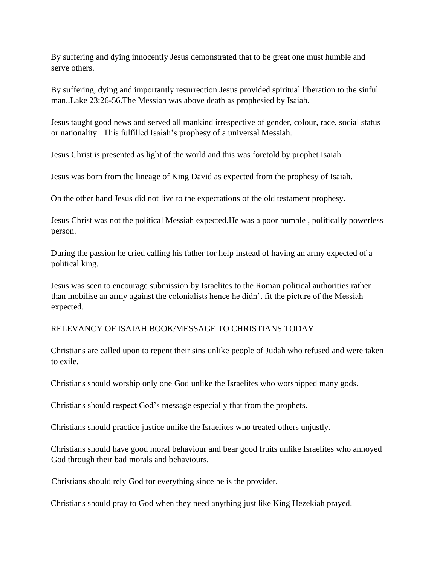By suffering and dying innocently Jesus demonstrated that to be great one must humble and serve others.

By suffering, dying and importantly resurrection Jesus provided spiritual liberation to the sinful man..Lake 23:26-56.The Messiah was above death as prophesied by Isaiah.

Jesus taught good news and served all mankind irrespective of gender, colour, race, social status or nationality. This fulfilled Isaiah's prophesy of a universal Messiah.

Jesus Christ is presented as light of the world and this was foretold by prophet Isaiah.

Jesus was born from the lineage of King David as expected from the prophesy of Isaiah.

On the other hand Jesus did not live to the expectations of the old testament prophesy.

Jesus Christ was not the political Messiah expected.He was a poor humble , politically powerless person.

During the passion he cried calling his father for help instead of having an army expected of a political king.

Jesus was seen to encourage submission by Israelites to the Roman political authorities rather than mobilise an army against the colonialists hence he didn't fit the picture of the Messiah expected.

# RELEVANCY OF ISAIAH BOOK/MESSAGE TO CHRISTIANS TODAY

Christians are called upon to repent their sins unlike people of Judah who refused and were taken to exile.

Christians should worship only one God unlike the Israelites who worshipped many gods.

Christians should respect God's message especially that from the prophets.

Christians should practice justice unlike the Israelites who treated others unjustly.

Christians should have good moral behaviour and bear good fruits unlike Israelites who annoyed God through their bad morals and behaviours.

Christians should rely God for everything since he is the provider.

Christians should pray to God when they need anything just like King Hezekiah prayed.